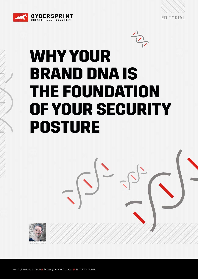



# **WHY YOUR BRAND DNA IS THE FOUNDATION OF YOUR SECURITY POSTURE**



[www.cybersprint.com](http://www.cybersprint.com) **//** [info@cybersprint.com](mailto:info%40cybersprint.com?subject=) **//** +31 70 22 12 892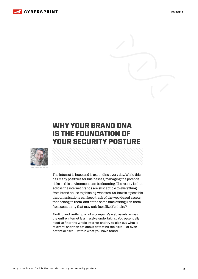

EDITORIAL

## **WHY YOUR BRAND DNA IS THE FOUNDATION OF YOUR SECURITY POSTURE**



The internet is huge and is expanding every day. While this has many positives for businesses, managing the potential risks in this environment can be daunting. The reality is that across the internet brands are susceptible to everything from brand abuse to phishing websites. So, how is it possible that organisations can keep track of the web-based assets that belong to them, and at the same time distinguish them from something that may only look like it's theirs?

Finding and verifying all of a company's web assets across the entire internet is a massive undertaking. You essentially need to filter the whole internet and try to pick out what is relevant, and then set about detecting the risks – or even potential risks – within what you have found.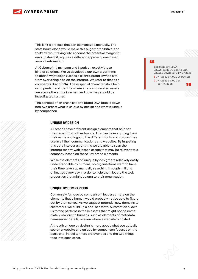

This isn't a process that can be managed manually. The staff-hours alone would make this hugely prohibitive, and that's without taking into account the potential margin for error. Instead, it requires a different approach, one based around automation.

At Cybersprint, my team and I work on exactly those kind of solutions. We've developed our own algorithms to define what distinguishes a client's brand-owned site from everything else on the internet. We refer to that as a company's Brand DNA. These special characteristics help us to predict and identify where any brand-related assets are across the entire internet, and how they should be investigated further.

The concept of an organisation's Brand DNA breaks down into two areas: what is unique by design and what is unique by comparison.

#### **UNIQUE BY DESIGN**

All brands have different design elements that help set them apart from other brands. This can be everything from their name and logo, to the different fonts and colours they use in all their communications and websites. By ingesting this data into our algorithms we are able to scan the internet for any web-based assets that may be relevant to a company, based on these key brand elements.

While the elements of 'unique by design' are relatively easily understandable by humans, no organisations want to have their time taken up manually searching through millions of images every day in order to help them locate the web properties that might belong to their organisation.

#### **UNIQUE BY COMPARISON**

Conversely, 'unique by comparison' focusses more on the elements that a human would probably not be able to figure out by themselves. As we suggest potential new domains to customers, we build up a pool of assets. Automation allows us to find patterns in these assets that might not be immediately obvious to humans, such as elements of metadata, nameserver details, or even where a website is hosted.

Although unique by design is more about what you actually see on a website and unique by comparison focuses on the back-end, in reality there are overlaps and the two things feed into each other.

### **"**

THE CONCEPT OF AN ORGANISATION'S BRAND DNA BREAKS DOWN INTO TWO AREAS: **1.**WHAT IS UNIQUE BY DESIGN **2.**WHAT IS UNIQUE BY COMPARISON. **"**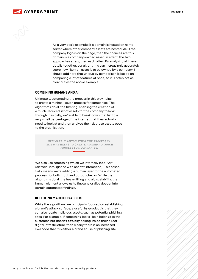



As a very basic example: if a domain is hosted on nameserver where other company assets are hosted, AND the company logo is on the page, then the chances are this domain is a company-owned asset. In effect, the two approaches strengthen each other. By analysing all these details together, our algorithms can increasingly accurately score how likely an asset is to be owned by a company. I should add here that unique by comparison is based on comparing a lot of features at once, so it is often not as clear cut as the above example.

#### **COMBINING HUMANS AND AI**

Ultimately, automating the process in this way helps to create a minimal-touch process for companies. The algorithms do all the filtering, enabling the creation of a much-reduced list of assets for the company to look through. Basically, we're able to break down that list to a very small percentage of the internet that they actually need to look at and then analyse the risk those assets pose to the organisation.

> ULTIMATELY, AUTOMATING THE PROCESS IN THIS WAY HELPS TO CREATE A MINIMAL-TOUCH PROCESS FOR COMPANIES.

We also use something which we internally label "AI2" (artificial intelligence with analyst interaction). This essentially means we're adding a human layer to the automated process, for both input and output checks. While the algorithms do all the heavy lifting and aid scalability, the human element allows us to finetune or dive deeper into certain automated findings.

#### **DETECTING MALICIOUS ASSETS**

While the algorithms are principally focused on establishing a brand's attack surface, a useful by-product is that they can also locate malicious assets, such as potential phishing sites. For example, if something looks like it belongs to the customer, but doesn't **actually** belong inside their direct digital infrastructure, then clearly there is an increased likelihood that it is either a brand abuse or phishing site.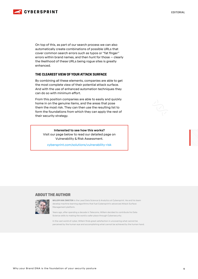

On top of this, as part of our search process we can also automatically create combinations of possible URLs that cover common search errors such as typos or "fat finger" errors within brand names, and then hunt for those – clearly the likelihood of these URLs being rogue sites is greatly enhanced.

#### **THE CLEAREST VIEW OF YOUR ATTACK SURFACE**

By combining all these elements, companies are able to get the most complete view of their potential attack surface. And with the use of enhanced automation techniques they can do so with minimum effort.

From this position companies are able to easily and quickly home in on the genuine items, and the areas that pose them the most risk. They can then use the resulting list to form the foundations from which they can apply the rest of their security strategy.

#### **Interested to see how this works?**

Visit our page below to read our detailed page on Vulnerability & Risk Assessment.

[cybersprint.com/solutions/vulnerability-risk](https://www.cybersprint.com/solutions/vulnerability-risk)

#### **ABOUT THE AUTHOR**



**WILLEM VAN ZWIETEN** is the Lead Data Science & Analytics at Cybersprint. He and his team develop machine learning algorithms that fuel Cybersprint's advanced Attack Surface Management platform.

Years ago, after spending a decade in Telecoms, Willem decided to contribute his Data Science skills to making the world a safer place through Cybersecurity.

In the vast world of cyber, Willem finds great satisfaction in uncovering what cannot be perceived by the human eye and accomplishing what cannot be achieved by the human hand.